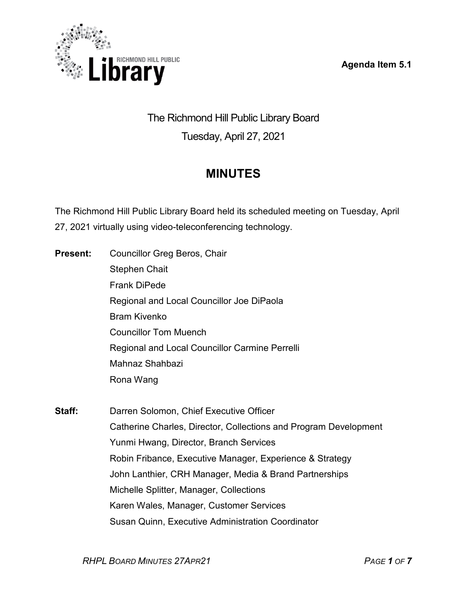**Agenda Item 5.1**



The Richmond Hill Public Library Board Tuesday, April 27, 2021

# **MINUTES**

The Richmond Hill Public Library Board held its scheduled meeting on Tuesday, April 27, 2021 virtually using video-teleconferencing technology.

| <b>Present:</b> | <b>Councillor Greg Beros, Chair</b>                              |
|-----------------|------------------------------------------------------------------|
|                 | <b>Stephen Chait</b>                                             |
|                 | <b>Frank DiPede</b>                                              |
|                 | Regional and Local Councillor Joe DiPaola                        |
|                 | <b>Bram Kivenko</b>                                              |
|                 | <b>Councillor Tom Muench</b>                                     |
|                 | Regional and Local Councillor Carmine Perrelli                   |
|                 | Mahnaz Shahbazi                                                  |
|                 | Rona Wang                                                        |
| Staff:          | Darren Solomon, Chief Executive Officer                          |
|                 | Catherine Charles, Director, Collections and Program Development |
|                 | Yunmi Hwang, Director, Branch Services                           |
|                 | Robin Fribance, Executive Manager, Experience & Strategy         |
|                 | John Lanthier, CRH Manager, Media & Brand Partnerships           |
|                 | Michelle Splitter, Manager, Collections                          |
|                 | Karen Wales, Manager, Customer Services                          |

Susan Quinn, Executive Administration Coordinator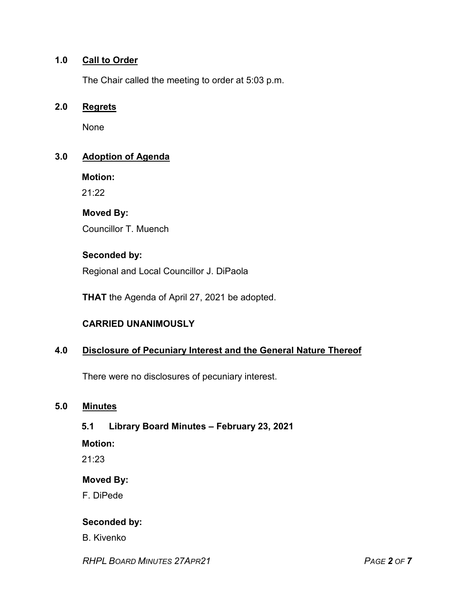## **1.0 Call to Order**

The Chair called the meeting to order at 5:03 p.m.

#### **2.0 Regrets**

None

## **3.0 Adoption of Agenda**

**Motion:**

21:22

## **Moved By:**

Councillor T. Muench

## **Seconded by:**

Regional and Local Councillor J. DiPaola

**THAT** the Agenda of April 27, 2021 be adopted.

## **CARRIED UNANIMOUSLY**

#### **4.0 Disclosure of Pecuniary Interest and the General Nature Thereof**

There were no disclosures of pecuniary interest.

#### **5.0 Minutes**

## **5.1 Library Board Minutes – February 23, 2021**

**Motion:**

21:23

## **Moved By:**

F. DiPede

## **Seconded by:**

B. Kivenko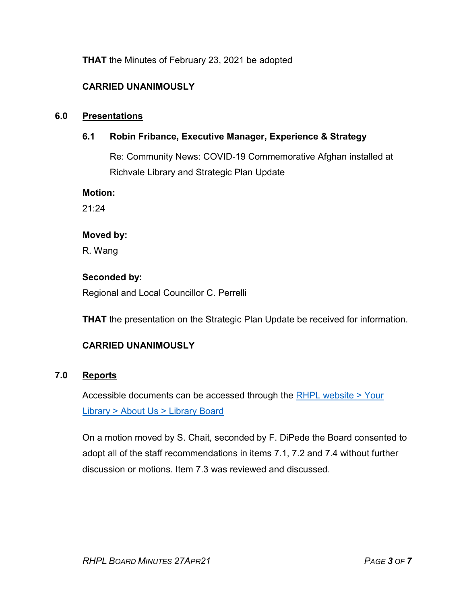**THAT** the Minutes of February 23, 2021 be adopted

## **CARRIED UNANIMOUSLY**

#### **6.0 Presentations**

#### **6.1 Robin Fribance, Executive Manager, Experience & Strategy**

Re: Community News: COVID-19 Commemorative Afghan installed at Richvale Library and Strategic Plan Update

**Motion:** 

21:24

#### **Moved by:**

R. Wang

#### **Seconded by:**

Regional and Local Councillor C. Perrelli

**THAT** the presentation on the Strategic Plan Update be received for information.

## **CARRIED UNANIMOUSLY**

#### **7.0 Reports**

Accessible documents can be accessed through the [RHPL website > Your](https://www.rhpl.ca/your-library/about-us/library-board)  Library [> About Us > Library](https://www.rhpl.ca/your-library/about-us/library-board) Board

On a motion moved by S. Chait, seconded by F. DiPede the Board consented to adopt all of the staff recommendations in items 7.1, 7.2 and 7.4 without further discussion or motions. Item 7.3 was reviewed and discussed.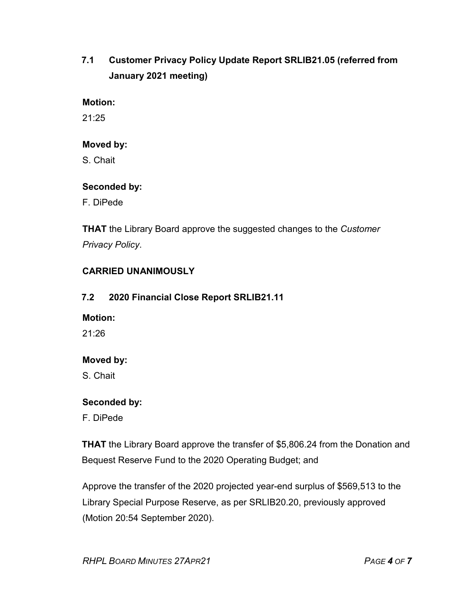## **7.1 Customer Privacy Policy Update Report SRLIB21.05 (referred from January 2021 meeting)**

#### **Motion:**

21:25

#### **Moved by:**

S. Chait

#### **Seconded by:**

F. DiPede

**THAT** the Library Board approve the suggested changes to the *Customer Privacy Policy*.

## **CARRIED UNANIMOUSLY**

## **7.2 2020 Financial Close Report SRLIB21.11**

#### **Motion:**

21:26

## **Moved by:**

S. Chait

#### **Seconded by:**

F. DiPede

**THAT** the Library Board approve the transfer of \$5,806.24 from the Donation and Bequest Reserve Fund to the 2020 Operating Budget; and

Approve the transfer of the 2020 projected year-end surplus of \$569,513 to the Library Special Purpose Reserve, as per SRLIB20.20, previously approved (Motion 20:54 September 2020).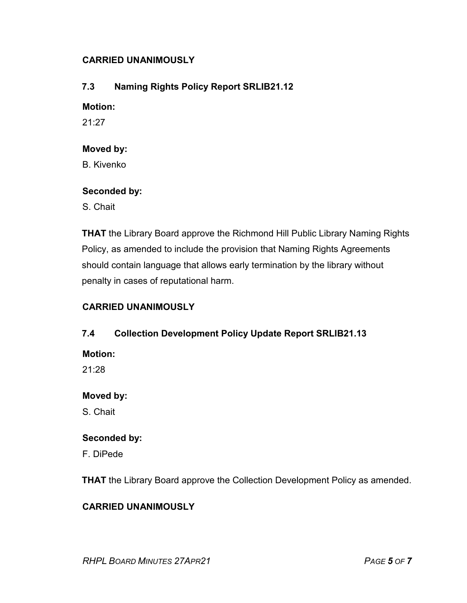## **CARRIED UNANIMOUSLY**

## **7.3 Naming Rights Policy Report SRLIB21.12**

#### **Motion:**

21:27

#### **Moved by:**

B. Kivenko

#### **Seconded by:**

S. Chait

**THAT** the Library Board approve the Richmond Hill Public Library Naming Rights Policy, as amended to include the provision that Naming Rights Agreements should contain language that allows early termination by the library without penalty in cases of reputational harm.

## **CARRIED UNANIMOUSLY**

#### **7.4 Collection Development Policy Update Report SRLIB21.13**

**Motion:** 

21:28

#### **Moved by:**

S. Chait

#### **Seconded by:**

F. DiPede

**THAT** the Library Board approve the Collection Development Policy as amended.

## **CARRIED UNANIMOUSLY**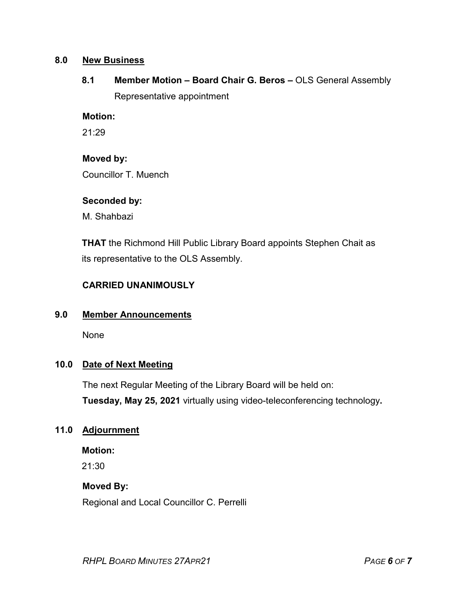#### **8.0 New Business**

**8.1 Member Motion – Board Chair G. Beros –** OLS General Assembly Representative appointment

#### **Motion:**

21:29

#### **Moved by:**

Councillor T. Muench

#### **Seconded by:**

M. Shahbazi

**THAT** the Richmond Hill Public Library Board appoints Stephen Chait as its representative to the OLS Assembly.

#### **CARRIED UNANIMOUSLY**

#### **9.0 Member Announcements**

None

## **10.0 Date of Next Meeting**

The next Regular Meeting of the Library Board will be held on: **Tuesday, May 25, 2021** virtually using video-teleconferencing technology**.**

#### **11.0 Adjournment**

**Motion:**

21:30

#### **Moved By:**

Regional and Local Councillor C. Perrelli

*RHPL BOARD MINUTES 27APR21 PAGE 6 OF 7*